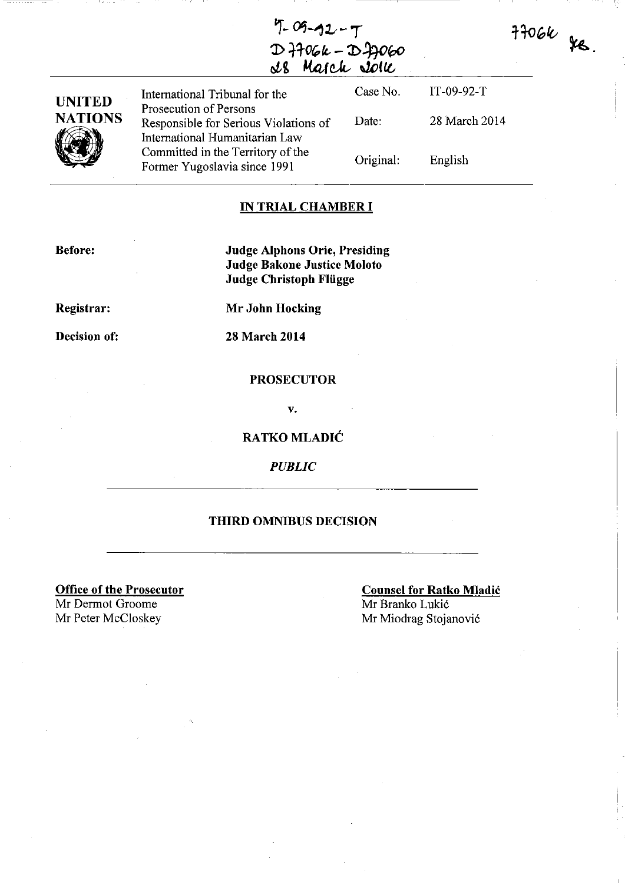**'T-** ~-1lt-T D ++06k - D +7060  $\mathcal{S}\text{B}$  March John

 $H06k$  is.

| <b>UNITED</b><br><b>NATIONS</b> | International Tribunal for the                                                                    | Case No.  | $IT-09-92-T$  |
|---------------------------------|---------------------------------------------------------------------------------------------------|-----------|---------------|
|                                 | Prosecution of Persons<br>Responsible for Serious Violations of<br>International Humanitarian Law | Date:     | 28 March 2014 |
|                                 | Committed in the Territory of the<br>Former Yugoslavia since 1991                                 | Original: | English       |

## **IN TRIAL CHAMBER I**

**Before:** 

**Judge Alphons Orie, Presiding Judge Bakone Justice Moloto Judge Christoph Fliigge** 

**Registrar:** 

**Mr Johu Hocking** 

**Decision of:** 

**28 March 2014** 

### **PROSECUTOR**

v.

**RATKO MLADIC** 

*PUBLIC* 

## **THIRD OMNIBUS DECISION**

**Office of the Prosecutor**  Mr Dermot Groome<br>Mr Peter McCloskey

**Counsel for Ratko Mladic**  Mr Branko Lukic Mr Miodrag Stojanović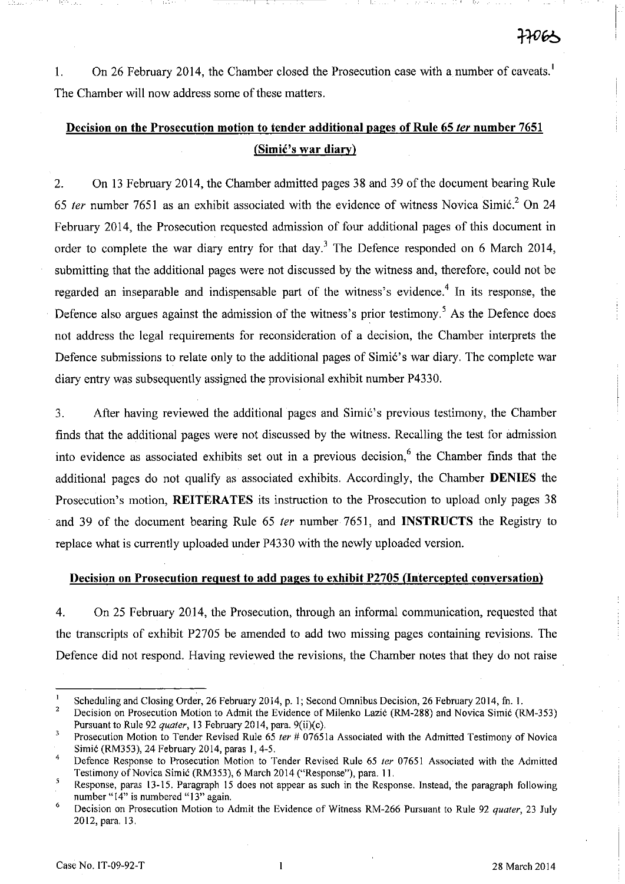1. On 26 February **2014,** the Chamber closed the Prosecution case with a number of caveats. <sup>I</sup> The Chamber will now address some of these matters.

1\_---

# **Decision on the Prosecution motion to tender additional pages of Rule 65 ler number 7651 (SimiC's war diary)**

2. On 13 February 2014, the Chamber admitted pages 38 and 39 of the document bearing Rule *65* fer number 7651 as an exhibit associated with the evidence of witness Novica Simic? On 24 February **2014,** the Prosecution requested admission of four additional pages of this document in order to complete the war diary entry for that day.<sup>3</sup> The Defence responded on 6 March 2014, submitting that the additional pages were not discussed by the witness and, therefore, could not be regarded an inseparable and indispensable part of the witness's evidence.<sup>4</sup> In its response, the Defence also argues against the admission of the witness's prior testimony.<sup>5</sup> As the Defence does not address the legal requirements for reconsideration of a decision, the Chamber interprets the Defence submissions to relate only to the additional pages of Simic's war diary. The complete war diary entry was subsequently assigned the provisional exhibit number P4330.

3. After having reviewed the additional pages and Simic's previous testimony, the Chamber finds that the additional pages were not discussed by the witness. Recalling the test for admission into evidence as associated exhibits set out in a previous decision,<sup>6</sup> the Chamber finds that the additional pages do not qualify as associated exhibits. Accordingly, the Chamber **DENIES** the Prosecution's motion, **REITERATES** its instruction to the Prosecution to upload only pages 38 and 39 of the document bearing Rule 65 fer number 7651, and **INSTRUCTS** the Registry to replace what is currently uploaded under P4330 with the newly uploaded version.

## **Decision on Prosecution request to add pages to exhibit P2705 (Intercepted conversation)**

4. On 25 February **2014,** the Prosecution, through an informal communication, requested that the transcripts of exhibit P2705 be amended to add two missing pages containing revisions. The Defence did not respond. Having reviewed the revisions, the Chamber notes that they do not raise

 $\blacksquare$ Scheduling and Closing Order, 26 February 2014, p. I; Second Omnibus Decision, 26 February 2014, fn. 1.

 $\overline{2}$ Decision on Prosecution Motion to Admit the Evidence of Milenko Lazić (RM-288) and Novica Simić (RM-353) Pursuant to Rule 92 *quater,* 13 February 20 14, para. 9(ii)(c).

 $\overline{\mathbf{3}}$ Prosecution Motion to Tender Revised Rule 65 *ter* # 07651a Associated with the Admitted Testimony of Novica

Simić (RM353), 24 February 2014, paras 1, 4-5.

<sup>4</sup>  Defence Response to Prosecution Motion to Tender Revised Rule 65 *ter* 07651 Associated with the Admitted Testimony of Novica Simić (RM353), 6 March 2014 ("Response"), para. 11.

<sup>-5</sup> Response, paras 13-15. Paragraph 15 does not appear as such in the Response. Instead, the paragraph following **number "14" is numbered "13" again.** 

<sup>6</sup>  Decision on Prosecution Motion to Admit the Evidence of Witness RM-266 Pursuant to Rule 92 *quater,* 23 July 2012, para. 13.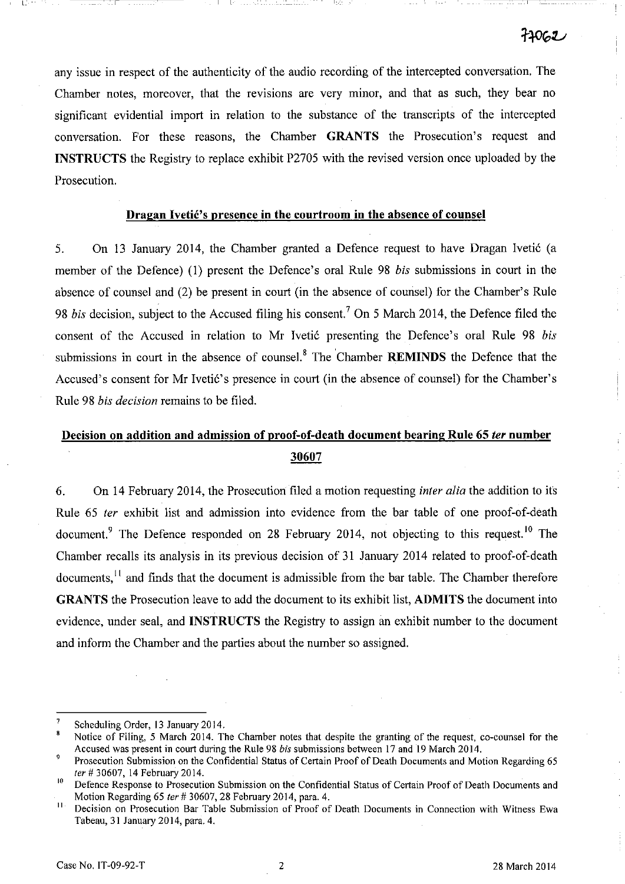any issue in respect of the authenticity of the audio recording of the intercepted conversation. The Chamber notes, moreover, that the revisions are very minor, and that as such, they bear no significant evidential import in relation to the substance of the transcripts of the intercepted conversation. For these reasons, the Chamber **GRANTS** the Prosecution's request and **INSTRUCTS** the Registry to replace exhibit P2705 with the revised version once uploaded by the Prosecution.

## **Dragan Ivetić's presence in the courtroom in the absence of counsel**

5. On 13 January 2014, the Chamber granted a Defence request to have Dragan Ivetic (a member of the Defence) (1) present the Defence's oral Rule 98 *his* submissions in court in the absence of counsel and (2) be present in court (in the absence of counsel) for the Chamber's Rule 98 *bis* decision, subject to the Accused filing his consent.<sup>7</sup> On 5 March 2014, the Defence filed the consent of the Accused in relation to Mr Ivetić presenting the Defence's oral Rule 98 *bis* submissions in court in the absence of counsel. 8 The 'Chamber **REMINDS** the Defence that the Accused's consent for Mr Ivetić's presence in court (in the absence of counsel) for the Chamber's Rule 98 *his decision* remains to be filed.

# **Decision on addition and admission of proof-of-death document bearing Rule 65 fer number**  30607

6. On 14 February 2014, the Prosecution filed a motion requesting *inter alia* the addition to its Rule 65 *ter* exhibit list and admission into evidence from the bar table of one proof-of-death document.<sup>9</sup> The Defence responded on 28 February 2014, not objecting to this request.<sup>10</sup> The Chamber recalls its analysis in its previous decision of 31 January 2014 related to proof-of-death documents,<sup>11</sup> and finds that the document is admissible from the bar table. The Chamber therefore **GRANTS** the Prosecution leave to add the document to its exhibit list, **ADMITS** the document into evidence, under seal, and **INSTRUCTS** the Registry to assign an exhibit number to the document and inform the Chamber and the parties about the number so assigned.

I L\_

<sup>7</sup> Scheduling Order. 13 January 2014.

 $\bf{a}$ Notice of Filing. 5 March 2014. The Chamber notes that despite the granting of the request. co-counsel for the Accused was present in court during the Rule 98 *bis* submissions between 17 and 19 March 2014.

<sup>&</sup>lt;sup>9</sup> Prosecution Submission on the Confidential Status of Certain Proof of Death Documents and Motion Regarding 65 fer # 30607.14 February 2014.

<sup>&</sup>lt;sup>10</sup> Defence Response to Prosecution Submission on the Confidential Status of Certain Proof of Death Documents and Motion Regarding 65 fer # 30607, 28 February 2014, para. 4.

**<sup>11</sup>Decision on Prosecution Bar Table Submission of Proof of Death Documents in Connection with Witness Ewa**  Tabeau, 31 January 2014, para. 4.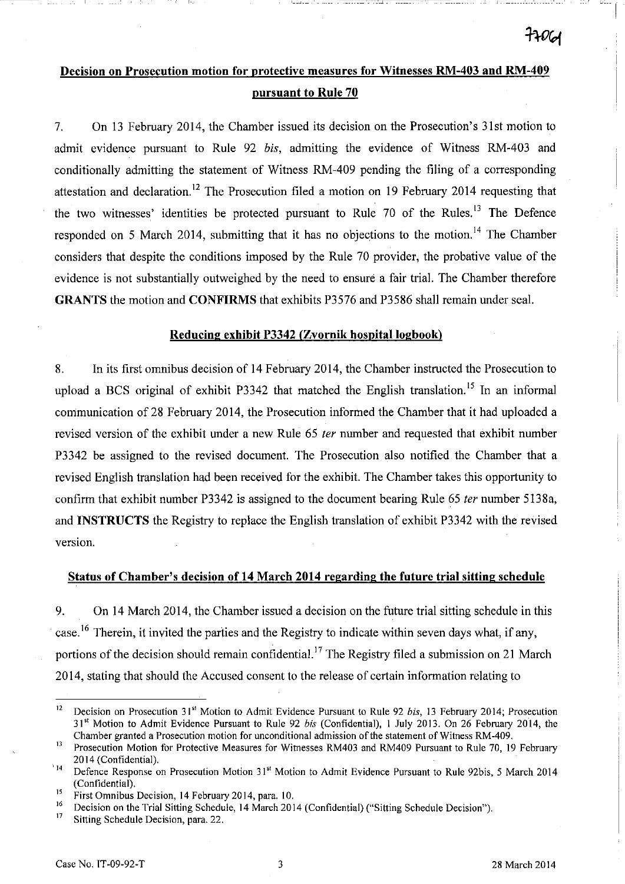# **Decision on Prosecution motion for protective measures for Witnesses RM-403 and RM-409 pursuant to Rule 70**

 $L = L - L$ 

7. On 13 February 2014, the Chamber issued its decision on the Prosecution's 31st motion to admit evidence pursuant to Rule 92 *bis,* admitting the evidence of Witness RM-403 and conditionally admitting the statement of Witness RM-409 pending the filing of a corresponding attestation and declaration.<sup>12</sup> The Prosecution filed a motion on 19 February 2014 requesting that the two witnesses' identities be protected pursuant to Rule  $70$  of the Rules.<sup>13</sup> The Defence responded on 5 March 2014, submitting that it has no objections to the motion.<sup>14</sup> The Chamber considers that despite the conditions imposed by the Rule 70 provider, the probative value of the evidence is not substantially outweighed by the need to ensure a fair trial. The Chamber therefore **GRANTS** the motion and **CONFIRMS** that exhibits P3576 and P3586 shall remain under seal.

### **Reducing exhibit P3342 (Zvornik** hospital logbook)

8. In its first omnibus decision of **14** February 2014, the Chamber instructed the Prosecution to upload a BCS original of exhibit P3342 that matched the English translation.<sup>15</sup> In an informal communication of 28 February 2014, the Prosecution informed the Chamber that it had uploaded a revised version of the exhibit under a new Rule 65 fer number and requested that exhibit number P3342 be assigned to the revised document. The Prosecution also notified the Chamber that a revised English translation had been received for the exhibit. The Chamber takes this opportunity to confirm that exhibit number P3342 is assigned to the document bearing Rule 65 fer number 5138a, and **INSTRUCTS** the Registry to replace the English translation of exhibit P3342 with the revised version.

### **Status of Chamber's decision of 14 March 2014 regarding the future trial sitting schedule**

9. On **14** March 2014, the Chamber issued a decision on the future trial sitting schedule in this case.<sup>16</sup> Therein, it invited the parties and the Registry to indicate within seven days what, if any, portions of the decision should remain confidential.<sup>17</sup> The Registry filed a submission on 21 March 2014, stating that should the Accused consent to the release of certain information relating to

<sup>12</sup> Decision on Prosecution 31" Motion to Admit Evidence Pursuant to Rule 92 *his,* 13 February 2014; Prosecution 31" Motion to Admit Evidence Pursuant to Rule 92 *his* (Confidential), I July 2013. On 26 February 2014, the Chamber granted a Prosecution motion for unconditional admission of the statement of Witness RM-409.

<sup>&</sup>lt;sup>13</sup> Prosecution Motion for Protective Measures for Witnesses RM403 and RM409 Pursuant to Rule 70, 19 February 2014 (Confidential).

<sup>&</sup>lt;sup>14</sup> Defence Response on Prosecution Motion 31<sup>st</sup> Motion to Admit Evidence Pursuant to Rule 92bis, 5 March 2014 (Confidential).

<sup>&</sup>lt;sup>15</sup> First Omnibus Decision, 14 February 2014, para. 10.<br><sup>16</sup> Decision as the Table Office School by 14 March 201

<sup>&</sup>lt;sup>16</sup> Decision on the Trial Sitting Schedule, 14 March 2014 (Confidential) ("Sitting Schedule Decision").

Sitting Schedule Decision, para. 22.